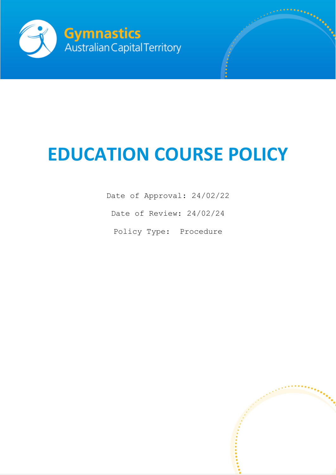



# **EDUCATION COURSE POLICY**

Date of Approval: 24/02/22

Date of Review: 24/02/24

Policy Type: Procedure

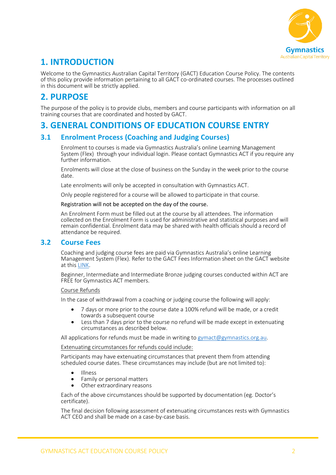

# **1. INTRODUCTION**

Welcome to the Gymnastics Australian Capital Territory (GACT) Education Course Policy. The contents of this policy provide information pertaining to all GACT co-ordinated courses. The processes outlined in this document will be strictly applied.

## **2. PURPOSE**

The purpose of the policy is to provide clubs, members and course participants with information on all training courses that are coordinated and hosted by GACT.

## **3. GENERAL CONDITIONS OF EDUCATION COURSE ENTRY**

## **3.1 Enrolment Process (Coaching and Judging Courses)**

Enrolment to courses is made via Gymnastics Australia's online Learning Management System (Flex) through your individual login. Please contact Gymnastics ACT if you require any further information.

Enrolments will close at the close of business on the Sunday in the week prior to the course date.

Late enrolments will only be accepted in consultation with Gymnastics ACT.

Only people registered for a course will be allowed to participate in that course.

#### Registration will not be accepted on the day of the course.

An Enrolment Form must be filled out at the course by all attendees. The information collected on the Enrolment Form is used for administrative and statistical purposes and will remain confidential. Enrolment data may be shared with health officials should a record of attendance be required.

## **3.2 Course Fees**

Coaching and judging course fees are paid via Gymnastics Australia's online Learning Management System (Flex). Refer to the GACT Fees Information sheet on the GACT website at this [LINK.](http://act.gymnastics.org.au/ACT/About_Us/Governance/By-Laws___Policies/ACT/Governance/By_Laws_and_Policies.aspx?hkey=650aa8b1-8260-45d4-a605-fef33454462c)

Beginner, Intermediate and Intermediate Bronze judging courses conducted within ACT are FREE for Gymnastics ACT members.

#### Course Refunds

In the case of withdrawal from a coaching or judging course the following will apply:

- 7 days or more prior to the course date a 100% refund will be made, or a credit towards a subsequent course
- Less than 7 days prior to the course no refund will be made except in extenuating circumstances as described below.

All applications for refunds must be made in writing to [gymact@gymnastics.org.au.](mailto:gymact@gymnastics.org.au)

#### Extenuating circumstances for refunds could include:

Participants may have extenuating circumstances that prevent them from attending scheduled course dates. These circumstances may include (but are not limited to):

- Illness
- Family or personal matters
- Other extraordinary reasons

Each of the above circumstances should be supported by documentation (eg. Doctor's certificate).

The final decision following assessment of extenuating circumstances rests with Gymnastics ACT CEO and shall be made on a case-by-case basis.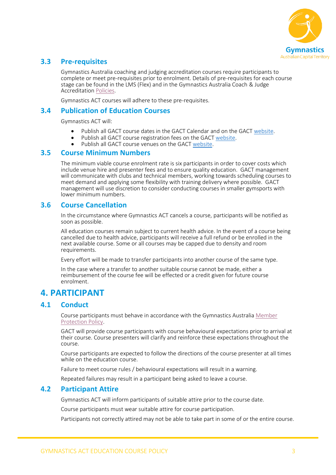

## **3.3 Pre-requisites**

Gymnastics Australia coaching and judging accreditation courses require participants to complete or meet pre-requisites prior to enrolment. Details of pre-requisites for each course stage can be found in the LMS (Flex) and in the Gymnastics Australia Coach & Judge Accreditatio[n Policies.](http://www.gymnastics.org.au/GA/About_Us/By-laws__Policies___Technical_Regulations/Ga/About/By-laws__Policies___Technical_Regulations.aspx?hkey=08379530-4144-406e-ba6f-914e3e53d934)

Gymnastics ACT courses will adhere to these pre-requisites.

## **3.4 Publication of Education Courses**

Gymnastics ACT will:

- Publish all GACT course dates in the GACT Calendar and on the GACT [website.](http://act.gymnastics.org.au/ACT/Education/ACT/Education/Education.aspx?hkey=16bc8456-909d-4507-9de3-a870f216322a)
- Publish all GACT course registration fees on the GACT [website.](http://act.gymnastics.org.au/ACT/About_Us/Governance/By-Laws___Policies/ACT/Governance/By_Laws_and_Policies.aspx?hkey=650aa8b1-8260-45d4-a605-fef33454462c)<br>• Publish all GACT course venues on the GACT website
- Publish all GACT course venues on the GACT [website.](http://act.gymnastics.org.au/ACT/Education/ACT/Education/Education.aspx?hkey=16bc8456-909d-4507-9de3-a870f216322a)

### **3.5 Course Minimum Numbers**

The minimum viable course enrolment rate is six participants in order to cover costs which include venue hire and presenter fees and to ensure quality education. GACT management will communicate with clubs and technical members, working towards scheduling courses to meet demand and applying some flexibility with training delivery where possible. GACT management will use discretion to consider conducting courses in smaller gymsports with lower minimum numbers.

## **3.6 Course Cancellation**

In the circumstance where Gymnastics ACT cancels a course, participants will be notified as soon as possible.

All education courses remain subject to current health advice. In the event of a course being cancelled due to health advice, participants will receive a full refund or be enrolled in the next available course. Some or all courses may be capped due to density and room requirements.

Every effort will be made to transfer participants into another course of the same type.

In the case where a transfer to another suitable course cannot be made, either a reimbursement of the course fee will be effected or a credit given for future course enrolment.

## **4. PARTICIPANT**

## **4.1 Conduct**

Course participants must behave in accordance with the Gymnastics Australia [Member](http://www.gymnastics.org.au/GA/About_Us/By-laws__Policies___Technical_Regulations/Ga/About/By-laws__Policies___Technical_Regulations.aspx?hkey=08379530-4144-406e-ba6f-914e3e53d934)  [Protection Policy.](http://www.gymnastics.org.au/GA/About_Us/By-laws__Policies___Technical_Regulations/Ga/About/By-laws__Policies___Technical_Regulations.aspx?hkey=08379530-4144-406e-ba6f-914e3e53d934)

GACT will provide course participants with course behavioural expectations prior to arrival at their course. Course presenters will clarify and reinforce these expectations throughout the course.

Course participants are expected to follow the directions of the course presenter at all times while on the education course.

Failure to meet course rules / behavioural expectations will result in a warning.

Repeated failures may result in a participant being asked to leave a course.

## **4.2 Participant Attire**

Gymnastics ACT will inform participants of suitable attire prior to the course date.

Course participants must wear suitable attire for course participation.

Participants not correctly attired may not be able to take part in some of or the entire course.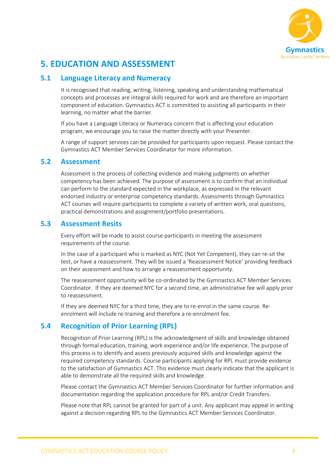

# **5. EDUCATION AND ASSESSMENT**

## **5.1 Language Literacy and Numeracy**

It is recognised that reading, writing, listening, speaking and understanding mathematical concepts and processes are integral skills required for work and are therefore an important component of education. Gymnastics ACT is committed to assisting all participants in their learning, no matter what the barrier.

If you have a Language Literacy or Numeracy concern that is affecting your education program, we encourage you to raise the matter directly with your Presenter.

A range of support services can be provided for participants upon request. Please contact the Gymnastics ACT Member Services Coordinator for more information.

## **5.2 Assessment**

Assessment is the process of collecting evidence and making judgments on whether competency has been achieved. The purpose of assessment is to confirm that an individual can perform to the standard expected in the workplace, as expressed in the relevant endorsed industry or enterprise competency standards. Assessments through Gymnastics ACT courses will require participants to complete a variety of written work, oral questions, practical demonstrations and assignment/portfolio presentations.

## **5.3 Assessment Resits**

Every effort will be made to assist course participants in meeting the assessment requirements of the course.

In the case of a participant who is marked as NYC (Not Yet Competent), they can re-sit the test, or have a reassessment. They will be issued a 'Reassessment Notice' providing feedback on their assessment and how to arrange a reassessment opportunity.

The reassessment opportunity will be co-ordinated by the Gymnastics ACT Member Services Coordinator. If they are deemed NYC for a second time, an administrative fee will apply prior to reassessment.

If they are deemed NYC for a third time, they are to re-enrol in the same course. Reenrolment will include re-training and therefore a re-enrolment fee.

## **5.4 Recognition of Prior Learning (RPL)**

Recognition of Prior Learning (RPL) is the acknowledgment of skills and knowledge obtained through formal education, training, work experience and/or life experience. The purpose of this process is to identify and assess previously acquired skills and knowledge against the required competency standards. Course participants applying for RPL must provide evidence to the satisfaction of Gymnastics ACT. This evidence must clearly indicate that the applicant is able to demonstrate all the required skills and knowledge.

Please contact the Gymnastics ACT Member Services Coordinator for further information and documentation regarding the application procedure for RPL and/or Credit Transfers.

Please note that RPL cannot be granted for part of a unit. Any applicant may appeal in writing against a decision regarding RPL to the Gymnastics ACT Member Services Coordinator.